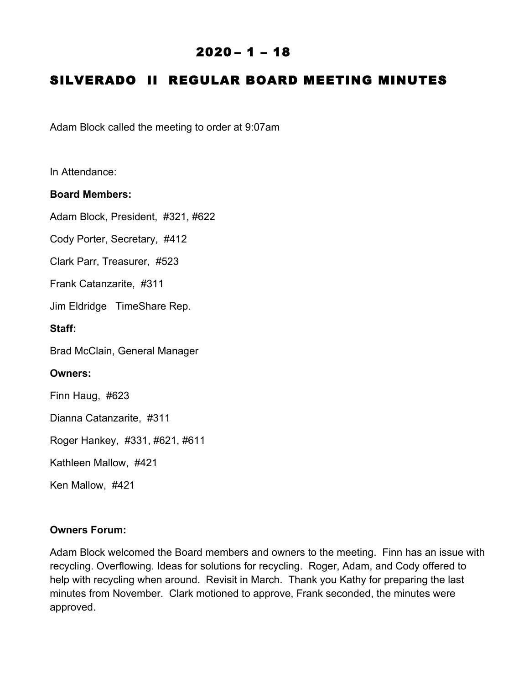## $2020 - 1 - 18$

# SILVERADO II REGULAR BOARD MEETING MINUTES

Adam Block called the meeting to order at 9:07am

In Attendance:

#### **Board Members:**

Adam Block, President, #321, #622

Cody Porter, Secretary, #412

Clark Parr, Treasurer, #523

Frank Catanzarite, #311

Jim Eldridge TimeShare Rep.

**Staff:**

Brad McClain, General Manager

#### **Owners:**

Finn Haug, #623

Dianna Catanzarite, #311

Roger Hankey, #331, #621, #611

Kathleen Mallow, #421

Ken Mallow, #421

#### **Owners Forum:**

Adam Block welcomed the Board members and owners to the meeting. Finn has an issue with recycling. Overflowing. Ideas for solutions for recycling. Roger, Adam, and Cody offered to help with recycling when around. Revisit in March. Thank you Kathy for preparing the last minutes from November. Clark motioned to approve, Frank seconded, the minutes were approved.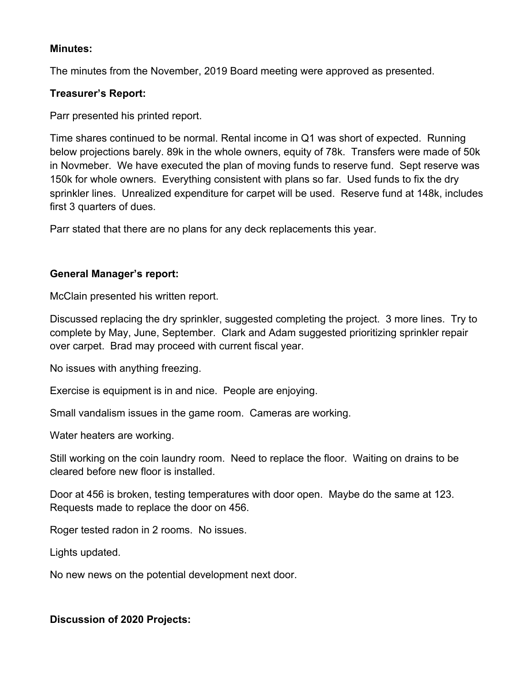#### **Minutes:**

The minutes from the November, 2019 Board meeting were approved as presented.

### **Treasurer's Report:**

Parr presented his printed report.

Time shares continued to be normal. Rental income in Q1 was short of expected. Running below projections barely. 89k in the whole owners, equity of 78k. Transfers were made of 50k in Novmeber. We have executed the plan of moving funds to reserve fund. Sept reserve was 150k for whole owners. Everything consistent with plans so far. Used funds to fix the dry sprinkler lines. Unrealized expenditure for carpet will be used. Reserve fund at 148k, includes first 3 quarters of dues.

Parr stated that there are no plans for any deck replacements this year.

## **General Manager's report:**

McClain presented his written report.

Discussed replacing the dry sprinkler, suggested completing the project. 3 more lines. Try to complete by May, June, September. Clark and Adam suggested prioritizing sprinkler repair over carpet. Brad may proceed with current fiscal year.

No issues with anything freezing.

Exercise is equipment is in and nice. People are enjoying.

Small vandalism issues in the game room. Cameras are working.

Water heaters are working.

Still working on the coin laundry room. Need to replace the floor. Waiting on drains to be cleared before new floor is installed.

Door at 456 is broken, testing temperatures with door open. Maybe do the same at 123. Requests made to replace the door on 456.

Roger tested radon in 2 rooms. No issues.

Lights updated.

No new news on the potential development next door.

#### **Discussion of 2020 Projects:**